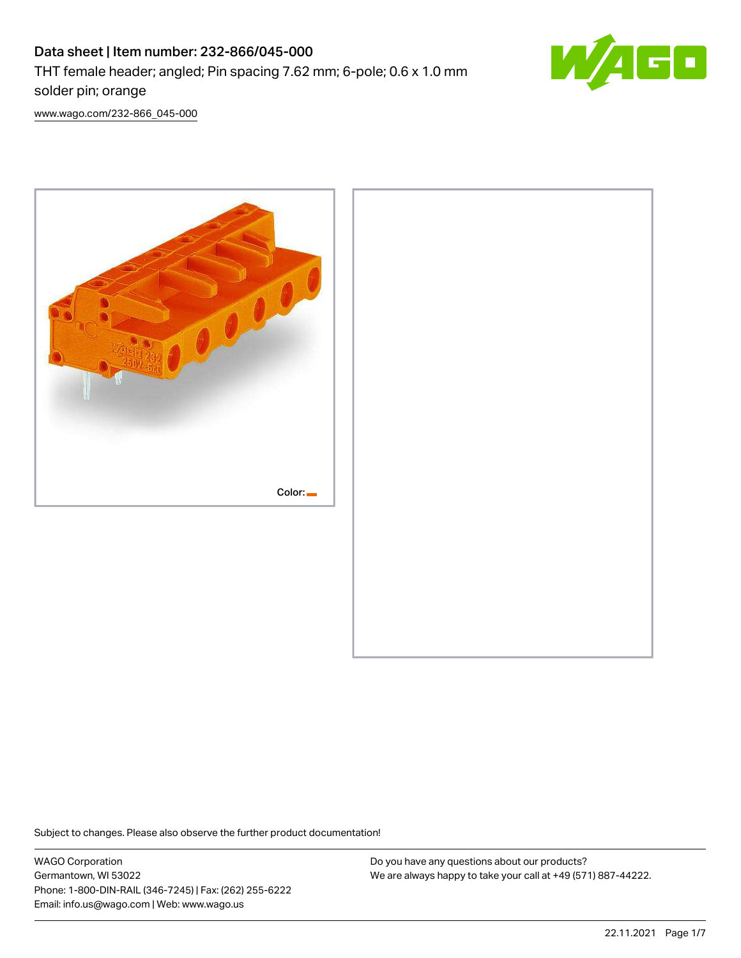# Data sheet | Item number: 232-866/045-000 THT female header; angled; Pin spacing 7.62 mm; 6-pole; 0.6 x 1.0 mm solder pin; orange



[www.wago.com/232-866\\_045-000](http://www.wago.com/232-866_045-000)



Subject to changes. Please also observe the further product documentation!

WAGO Corporation Germantown, WI 53022 Phone: 1-800-DIN-RAIL (346-7245) | Fax: (262) 255-6222 Email: info.us@wago.com | Web: www.wago.us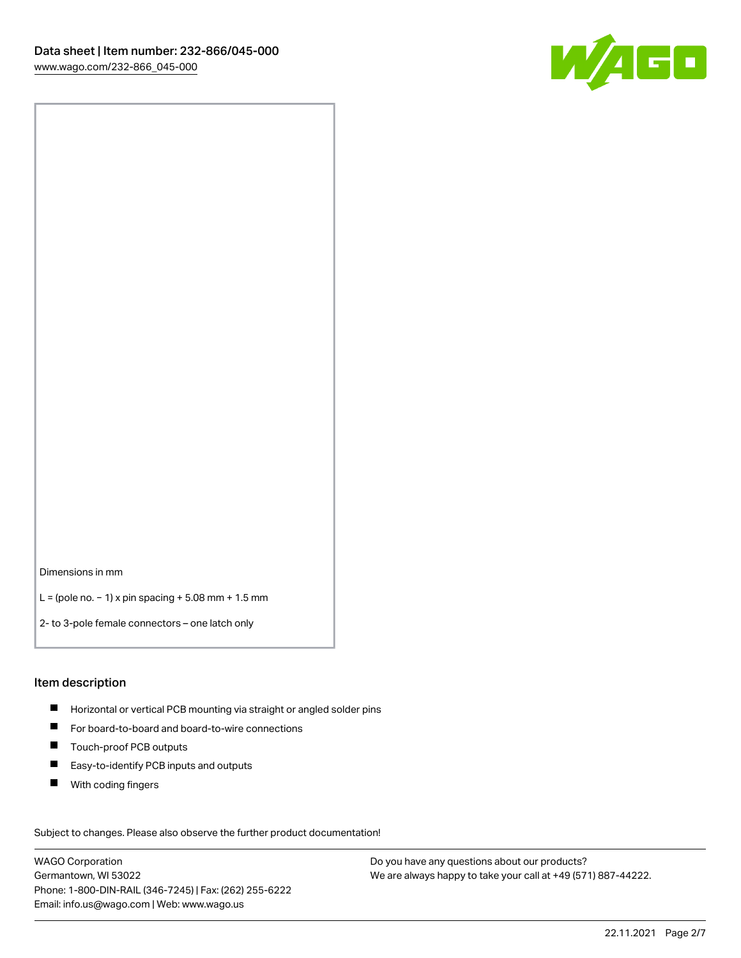

Dimensions in mm

L = (pole no. − 1) x pin spacing + 5.08 mm + 1.5 mm

2- to 3-pole female connectors – one latch only

#### Item description

- **H** Horizontal or vertical PCB mounting via straight or angled solder pins
- For board-to-board and board-to-wire connections
- Touch-proof PCB outputs  $\blacksquare$
- $\blacksquare$ Easy-to-identify PCB inputs and outputs
- $\blacksquare$ With coding fingers

Subject to changes. Please also observe the further product documentation! Data

WAGO Corporation Germantown, WI 53022 Phone: 1-800-DIN-RAIL (346-7245) | Fax: (262) 255-6222 Email: info.us@wago.com | Web: www.wago.us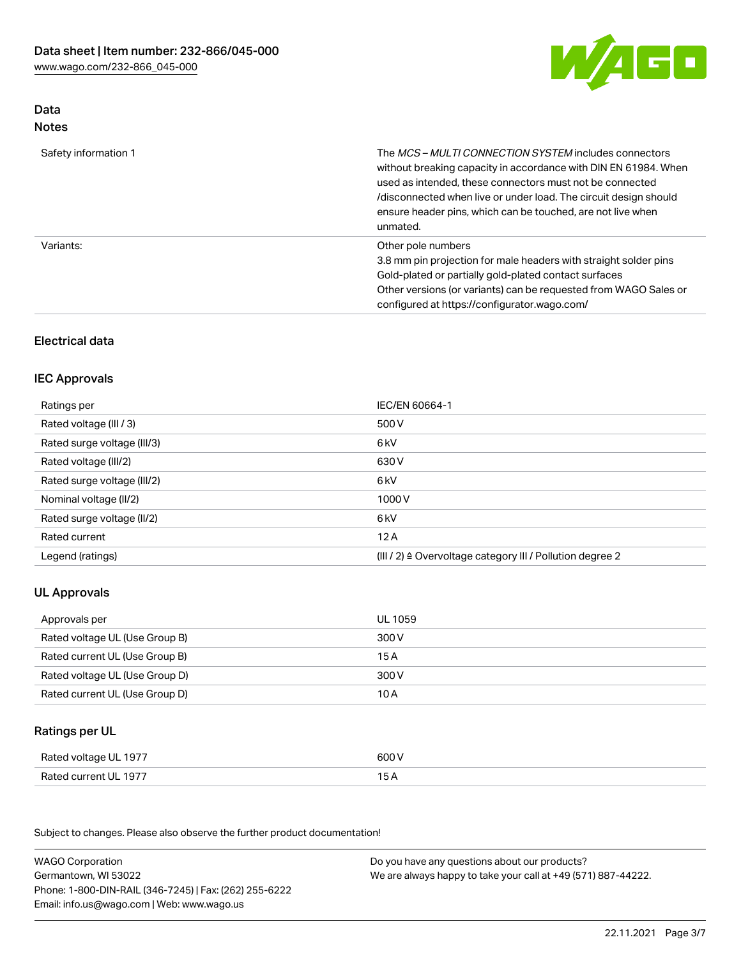

# Data Notes

| Safety information 1 | The <i>MCS - MULTI CONNECTION SYSTEM</i> includes connectors<br>without breaking capacity in accordance with DIN EN 61984. When<br>used as intended, these connectors must not be connected<br>/disconnected when live or under load. The circuit design should<br>ensure header pins, which can be touched, are not live when<br>unmated. |
|----------------------|--------------------------------------------------------------------------------------------------------------------------------------------------------------------------------------------------------------------------------------------------------------------------------------------------------------------------------------------|
| Variants:            | Other pole numbers<br>3.8 mm pin projection for male headers with straight solder pins<br>Gold-plated or partially gold-plated contact surfaces<br>Other versions (or variants) can be requested from WAGO Sales or<br>configured at https://configurator.wago.com/                                                                        |

# Electrical data

## IEC Approvals

| IEC/EN 60664-1                                                        |
|-----------------------------------------------------------------------|
| 500 V                                                                 |
| 6 <sub>kV</sub>                                                       |
| 630 V                                                                 |
| 6 <sub>kV</sub>                                                       |
| 1000V                                                                 |
| 6 <sub>kV</sub>                                                       |
| 12A                                                                   |
| $(III / 2)$ $\triangle$ Overvoltage category III / Pollution degree 2 |
|                                                                       |

# UL Approvals

| Approvals per                  | UL 1059 |
|--------------------------------|---------|
| Rated voltage UL (Use Group B) | 300 V   |
| Rated current UL (Use Group B) | 15 A    |
| Rated voltage UL (Use Group D) | 300 V   |
| Rated current UL (Use Group D) | 10 A    |

# Ratings per UL

| Rated voltage UL 1977 | 600 V |
|-----------------------|-------|
| Rated current UL 1977 |       |

Subject to changes. Please also observe the further product documentation!

| <b>WAGO Corporation</b>                                | Do you have any questions about our products?                 |
|--------------------------------------------------------|---------------------------------------------------------------|
| Germantown, WI 53022                                   | We are always happy to take your call at +49 (571) 887-44222. |
| Phone: 1-800-DIN-RAIL (346-7245)   Fax: (262) 255-6222 |                                                               |
| Email: info.us@wago.com   Web: www.wago.us             |                                                               |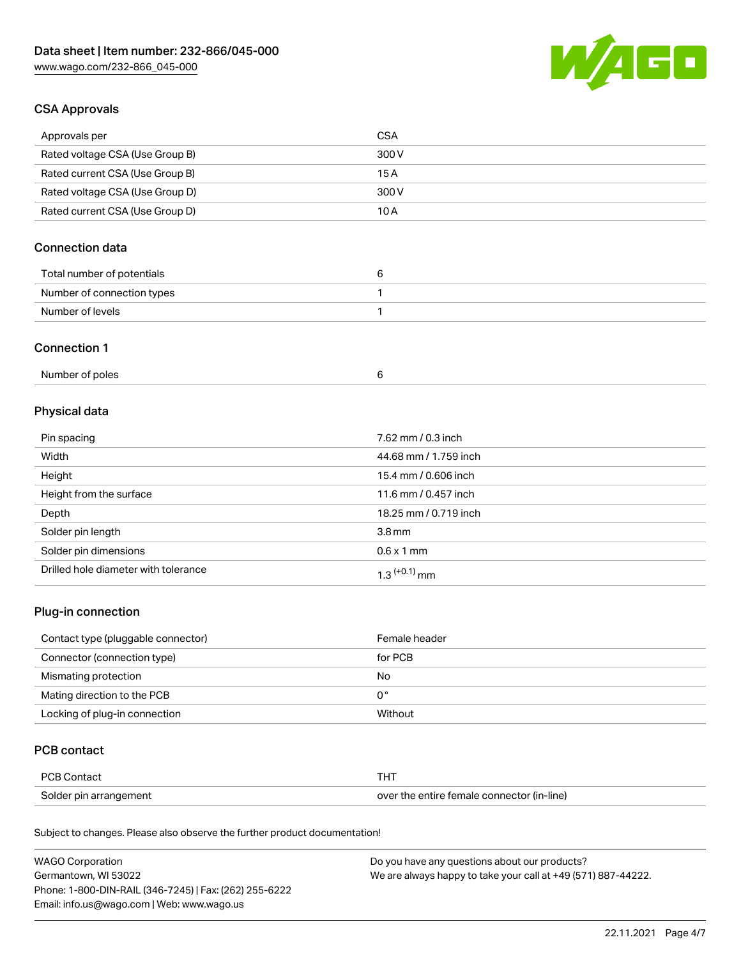

## CSA Approvals

| Approvals per                   | CSA   |
|---------------------------------|-------|
| Rated voltage CSA (Use Group B) | 300 V |
| Rated current CSA (Use Group B) | 15 A  |
| Rated voltage CSA (Use Group D) | 300 V |
| Rated current CSA (Use Group D) | 10 A  |

# Connection data

| Total number of potentials |  |
|----------------------------|--|
| Number of connection types |  |
| Number of levels           |  |

#### Connection 1

| Number of poles |  |
|-----------------|--|
|-----------------|--|

# Physical data

| Pin spacing                          | 7.62 mm / 0.3 inch    |
|--------------------------------------|-----------------------|
| Width                                | 44.68 mm / 1.759 inch |
| Height                               | 15.4 mm / 0.606 inch  |
| Height from the surface              | 11.6 mm / 0.457 inch  |
| Depth                                | 18.25 mm / 0.719 inch |
| Solder pin length                    | 3.8 <sub>mm</sub>     |
| Solder pin dimensions                | $0.6 \times 1$ mm     |
| Drilled hole diameter with tolerance | $1.3$ $(+0.1)$ mm     |

# Plug-in connection

| Contact type (pluggable connector) | Female header |
|------------------------------------|---------------|
| Connector (connection type)        | for PCB       |
| Mismating protection               | No            |
| Mating direction to the PCB        | 0°            |
| Locking of plug-in connection      | Without       |

## PCB contact

| PCB Contact            | тнт                                        |
|------------------------|--------------------------------------------|
| Solder pin arrangement | over the entire female connector (in-line) |

Subject to changes. Please also observe the further product documentation!

| <b>WAGO Corporation</b>                                | Do you have any questions about our products?                 |
|--------------------------------------------------------|---------------------------------------------------------------|
| Germantown, WI 53022                                   | We are always happy to take your call at +49 (571) 887-44222. |
| Phone: 1-800-DIN-RAIL (346-7245)   Fax: (262) 255-6222 |                                                               |
| Email: info.us@wago.com   Web: www.wago.us             |                                                               |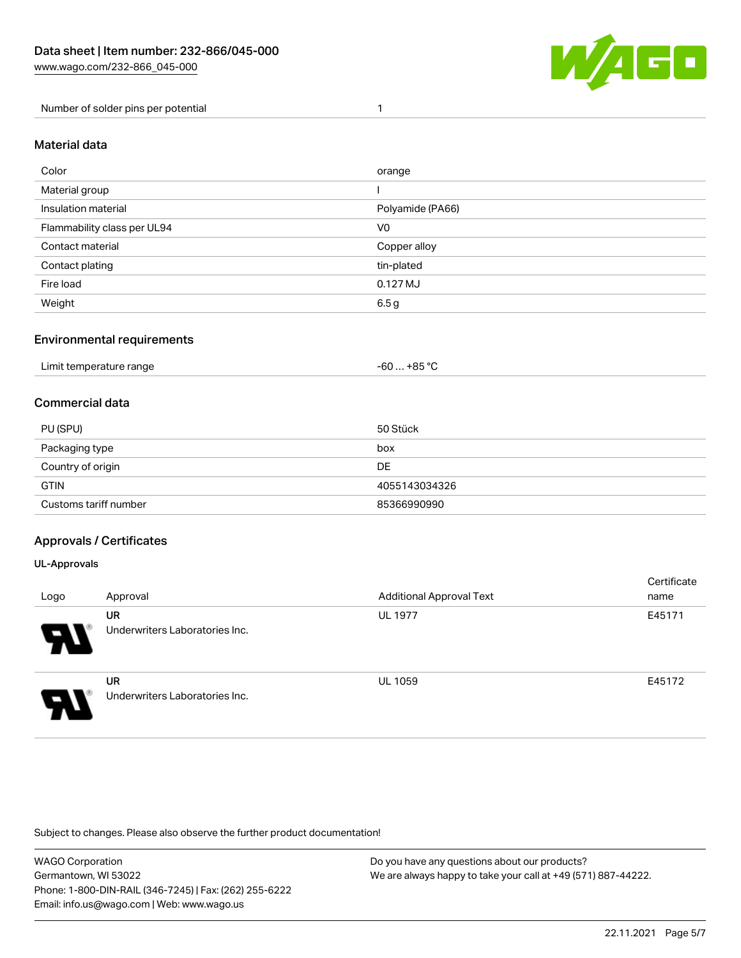

Number of solder pins per potential 1

#### Material data

| Color                       | orange           |
|-----------------------------|------------------|
| Material group              |                  |
| Insulation material         | Polyamide (PA66) |
| Flammability class per UL94 | V <sub>0</sub>   |
| Contact material            | Copper alloy     |
| Contact plating             | tin-plated       |
| Fire load                   | 0.127 MJ         |
| Weight                      | 6.5 g            |

## Environmental requirements

| Limit temperature range<br>. | … +85 ° <sup>∩</sup><br>-60 … |
|------------------------------|-------------------------------|
|------------------------------|-------------------------------|

## Commercial data

| PU (SPU)              | 50 Stück      |
|-----------------------|---------------|
| Packaging type        | box           |
| Country of origin     | DE            |
| <b>GTIN</b>           | 4055143034326 |
| Customs tariff number | 85366990990   |

## Approvals / Certificates

#### UL-Approvals

| Logo | Approval                             | <b>Additional Approval Text</b> | Certificate<br>name |
|------|--------------------------------------|---------------------------------|---------------------|
| 8    | UR<br>Underwriters Laboratories Inc. | <b>UL 1977</b>                  | E45171              |
| I    | UR<br>Underwriters Laboratories Inc. | <b>UL 1059</b>                  | E45172              |

Subject to changes. Please also observe the further product documentation!

| WAGO Corporation                                       | Do you have any questions about our products?                 |
|--------------------------------------------------------|---------------------------------------------------------------|
| Germantown, WI 53022                                   | We are always happy to take your call at +49 (571) 887-44222. |
| Phone: 1-800-DIN-RAIL (346-7245)   Fax: (262) 255-6222 |                                                               |
| Email: info.us@wago.com   Web: www.wago.us             |                                                               |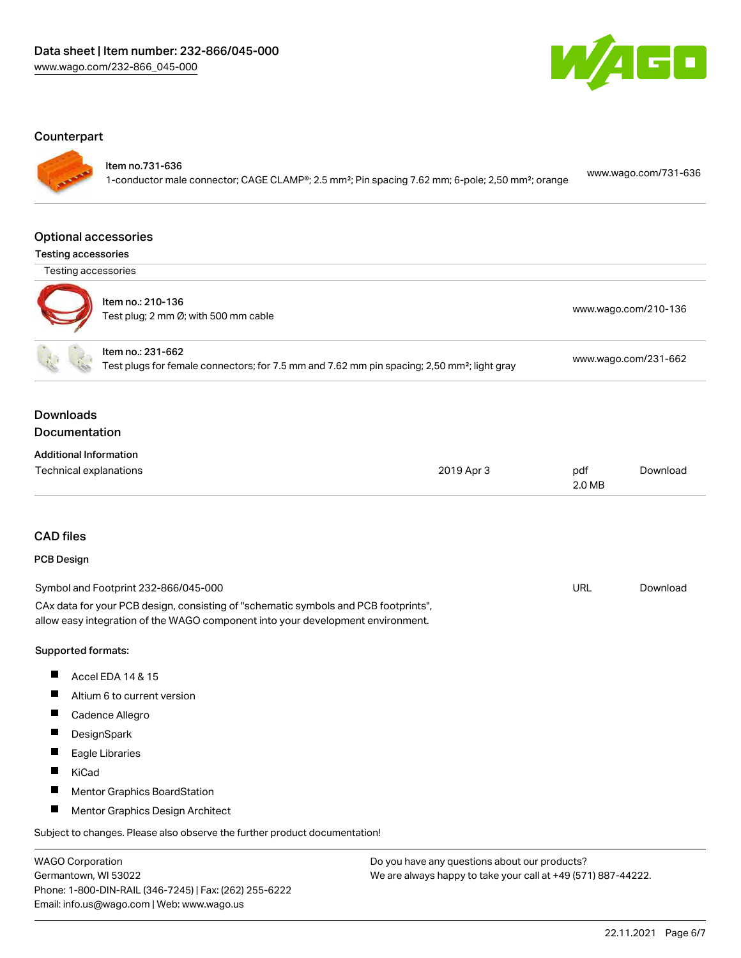

#### **Counterpart**

Item no.731-636

1-conductor male connector; CAGE CLAMP®; 2.5 mm²; Pin spacing 7.62 mm; 6-pole; 2,50 mm²; orange [www.wago.com/731-636](https://www.wago.com/731-636)

#### Optional accessories

| <b>Testing accessories</b> |  |
|----------------------------|--|
|----------------------------|--|

Testing accessories



| oung aoocooonico |                                                           |                                           |
|------------------|-----------------------------------------------------------|-------------------------------------------|
|                  | Item no.: 210-136<br>Test plug; 2 mm Ø; with 500 mm cable | www.wago.com/210-136                      |
|                  | Item no.: 231-662                                         | $\sim$ $\sim$ $\sim$ $\sim$ $\sim$ $\sim$ |

Test plugs for female connectors; for 7.5 mm and 7.62 mm pin spacing; 2,50 mm²; light gray [www.wago.com/231-662](http://www.wago.com/231-662)

## Downloads Documentation

| <b>Additional Information</b> |  |
|-------------------------------|--|

| .<br>.<br>Technical explanations | 2019 Apr 3 | pdf    | Download |
|----------------------------------|------------|--------|----------|
|                                  |            | 2.0 MB |          |

## CAD files

#### PCB Design

| Symbol and Footprint 232-866/045-000                                                | URL | Download |
|-------------------------------------------------------------------------------------|-----|----------|
| CAx data for your PCB design, consisting of "schematic symbols and PCB footprints", |     |          |
| allow easy integration of the WAGO component into your development environment.     |     |          |

#### Supported formats:

- $\blacksquare$ Accel EDA 14 & 15
- $\blacksquare$ Altium 6 to current version
- Cadence Allegro
- $\blacksquare$ **DesignSpark**
- $\blacksquare$ Eagle Libraries
- $\blacksquare$ KiCad
- $\blacksquare$ Mentor Graphics BoardStation
- $\blacksquare$ Mentor Graphics Design Architect

Subject to changes. Please also observe the further product documentation!

WAGO Corporation Germantown, WI 53022 Phone: 1-800-DIN-RAIL (346-7245) | Fax: (262) 255-6222 Email: info.us@wago.com | Web: www.wago.us